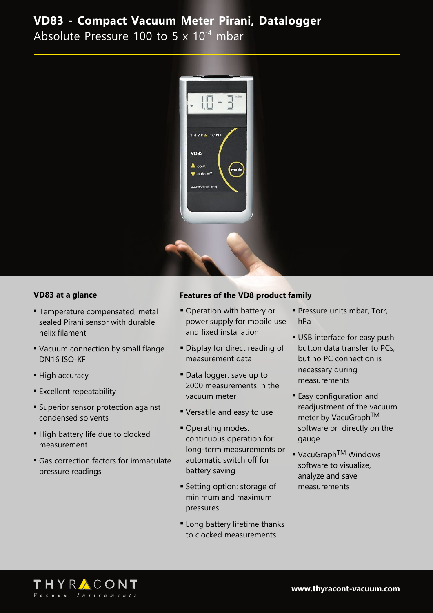Absolute Pressure 100 to 5 x 10<sup>-4</sup> mbar



### **VD83 at a glance**

- **Temperature compensated, metal** sealed Pirani sensor with durable helix filament
- Vacuum connection by small flange DN16 ISO-KF
- High accuracy
- **Excellent repeatability**
- **Example 1** Superior sensor protection against condensed solvents
- **High battery life due to clocked** measurement
- **Gas correction factors for immaculate** pressure readings

### **Features of the VD8 product family**

- **Operation with battery or** power supply for mobile use and fixed installation
- **Display for direct reading of** measurement data
- Data logger: save up to 2000 measurements in the vacuum meter
- **Versatile and easy to use**
- Operating modes: continuous operation for long-term measurements or automatic switch off for battery saving
- **Setting option: storage of** minimum and maximum pressures
- **Example 1** Long battery lifetime thanks to clocked measurements
- **Pressure units mbar, Torr,** hPa
- **USB** interface for easy push button data transfer to PCs, but no PC connection is necessary during measurements
- **Easy configuration and** readjustment of the vacuum meter by VacuGraph<sup>TM</sup> software or directly on the gauge
- VacuGraph<sup>TM</sup> Windows software to visualize, analyze and save measurements

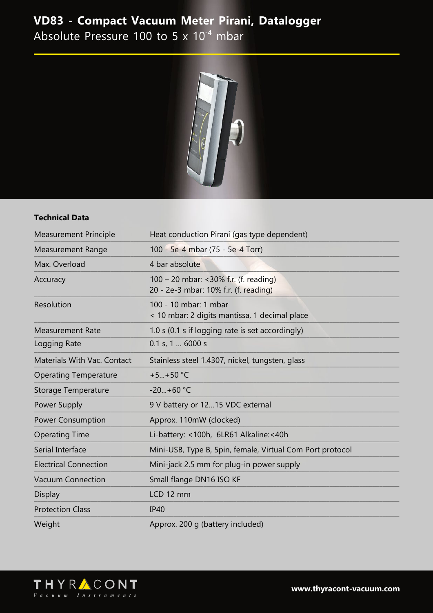Absolute Pressure 100 to 5 x 10<sup>-4</sup> mbar



### **Technical Data**

| <b>Measurement Principle</b> | Heat conduction Pirani (gas type dependent)                                    |  |
|------------------------------|--------------------------------------------------------------------------------|--|
| <b>Measurement Range</b>     | 100 - 5e-4 mbar (75 - 5e-4 Torr)                                               |  |
| Max. Overload                | 4 bar absolute                                                                 |  |
| Accuracy                     | 100 – 20 mbar: <30% f.r. (f. reading)<br>20 - 2e-3 mbar: 10% f.r. (f. reading) |  |
| Resolution                   | 100 - 10 mbar: 1 mbar<br>< 10 mbar: 2 digits mantissa, 1 decimal place         |  |
| <b>Measurement Rate</b>      | 1.0 s (0.1 s if logging rate is set accordingly)                               |  |
| Logging Rate                 | 0.1 s, 1  6000 s                                                               |  |
| Materials With Vac. Contact  | Stainless steel 1.4307, nickel, tungsten, glass                                |  |
| <b>Operating Temperature</b> | $+5+50$ °C                                                                     |  |
| Storage Temperature          | $-20+60$ °C                                                                    |  |
| Power Supply                 | 9 V battery or 1215 VDC external                                               |  |
| <b>Power Consumption</b>     | Approx. 110mW (clocked)                                                        |  |
| <b>Operating Time</b>        | Li-battery: <100h, 6LR61 Alkaline:<40h                                         |  |
| Serial Interface             | Mini-USB, Type B, 5pin, female, Virtual Com Port protocol                      |  |
| <b>Electrical Connection</b> | Mini-jack 2.5 mm for plug-in power supply                                      |  |
| <b>Vacuum Connection</b>     | Small flange DN16 ISO KF                                                       |  |
| <b>Display</b>               | LCD 12 mm                                                                      |  |
| <b>Protection Class</b>      | <b>IP40</b>                                                                    |  |
| Weight                       | Approx. 200 g (battery included)                                               |  |



www.thyracont-vacuum.com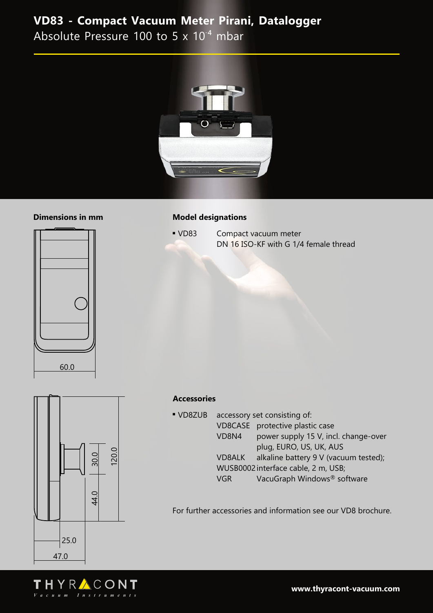Absolute Pressure 100 to 5 x 10<sup>-4</sup> mbar



### **Dimensions in mm**

# 60.0

### **Model designations**

• VD83 Compact vacuum meter DN 16 ISO-KF with G 1/4 female thread



### **Accessories**

| VD8ZUB | accessory set consisting of:        |                                       |  |
|--------|-------------------------------------|---------------------------------------|--|
|        |                                     | VD8CASE protective plastic case       |  |
|        | VD8N4                               | power supply 15 V, incl. change-over  |  |
|        |                                     | plug, EURO, US, UK, AUS               |  |
|        | VD8ALK                              | alkaline battery 9 V (vacuum tested); |  |
|        | WUSB0002 interface cable, 2 m, USB; |                                       |  |
|        | VGR.                                | VacuGraph Windows® software           |  |

For further accessories and information see our VD8 brochure.